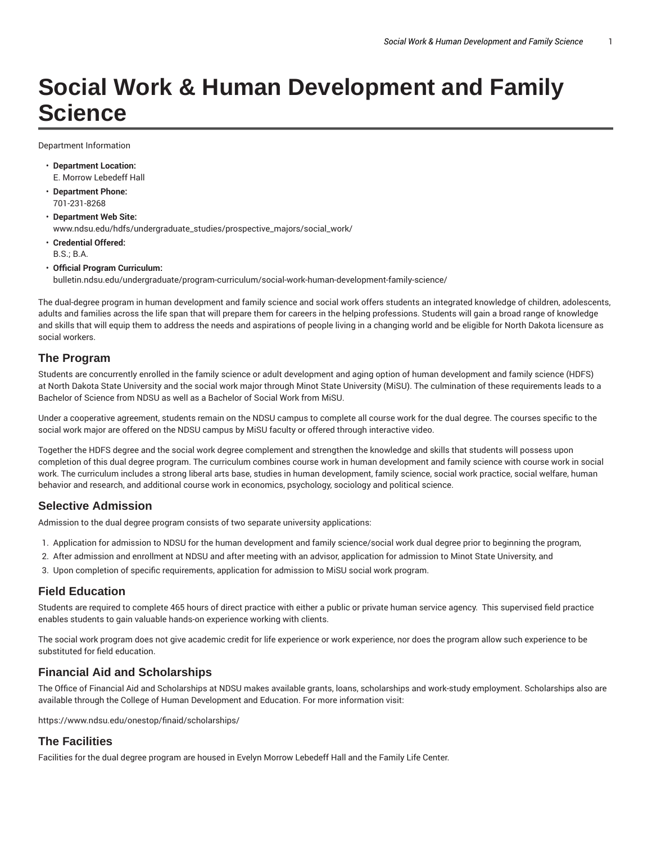# **Social Work & Human Development and Family Science**

Department Information

- **Department Location:** E. Morrow Lebedeff Hall
- **Department Phone:** 701-231-8268
- **Department Web Site:** www.ndsu.edu/hdfs/undergraduate\_studies/prospective\_majors/social\_work/
- **Credential Offered:** B.S.; B.A.
- **Official Program Curriculum:** bulletin.ndsu.edu/undergraduate/program-curriculum/social-work-human-development-family-science/

The dual-degree program in human development and family science and social work offers students an integrated knowledge of children, adolescents, adults and families across the life span that will prepare them for careers in the helping professions. Students will gain a broad range of knowledge and skills that will equip them to address the needs and aspirations of people living in a changing world and be eligible for North Dakota licensure as social workers.

#### **The Program**

Students are concurrently enrolled in the family science or adult development and aging option of human development and family science (HDFS) at North Dakota State University and the social work major through Minot State University (MiSU). The culmination of these requirements leads to a Bachelor of Science from NDSU as well as a Bachelor of Social Work from MiSU.

Under a cooperative agreement, students remain on the NDSU campus to complete all course work for the dual degree. The courses specific to the social work major are offered on the NDSU campus by MiSU faculty or offered through interactive video.

Together the HDFS degree and the social work degree complement and strengthen the knowledge and skills that students will possess upon completion of this dual degree program. The curriculum combines course work in human development and family science with course work in social work. The curriculum includes a strong liberal arts base, studies in human development, family science, social work practice, social welfare, human behavior and research, and additional course work in economics, psychology, sociology and political science.

#### **Selective Admission**

Admission to the dual degree program consists of two separate university applications:

- 1. Application for admission to NDSU for the human development and family science/social work dual degree prior to beginning the program,
- 2. After admission and enrollment at NDSU and after meeting with an advisor, application for admission to Minot State University, and
- 3. Upon completion of specific requirements, application for admission to MiSU social work program.

## **Field Education**

Students are required to complete 465 hours of direct practice with either a public or private human service agency. This supervised field practice enables students to gain valuable hands-on experience working with clients.

The social work program does not give academic credit for life experience or work experience, nor does the program allow such experience to be substituted for field education.

## **Financial Aid and Scholarships**

The Office of Financial Aid and Scholarships at NDSU makes available grants, loans, scholarships and work-study employment. Scholarships also are available through the College of Human Development and Education. For more information visit:

https://www.ndsu.edu/onestop/finaid/scholarships/

## **The Facilities**

Facilities for the dual degree program are housed in Evelyn Morrow Lebedeff Hall and the Family Life Center.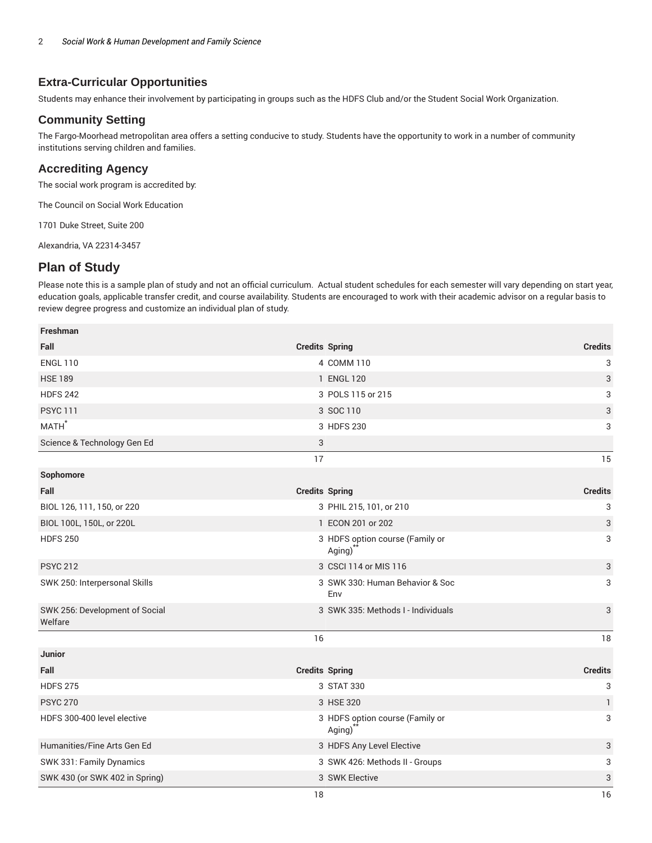## **Extra-Curricular Opportunities**

Students may enhance their involvement by participating in groups such as the HDFS Club and/or the Student Social Work Organization.

#### **Community Setting**

The Fargo-Moorhead metropolitan area offers a setting conducive to study. Students have the opportunity to work in a number of community institutions serving children and families.

#### **Accrediting Agency**

The social work program is accredited by:

The Council on Social Work Education

1701 Duke Street, Suite 200

Alexandria, VA 22314-3457

## **Plan of Study**

Please note this is a sample plan of study and not an official curriculum. Actual student schedules for each semester will vary depending on start year, education goals, applicable transfer credit, and course availability. Students are encouraged to work with their academic advisor on a regular basis to review degree progress and customize an individual plan of study.

| Freshman                                  |                       |                                           |                |
|-------------------------------------------|-----------------------|-------------------------------------------|----------------|
| Fall                                      |                       | <b>Credits Spring</b>                     | <b>Credits</b> |
| <b>ENGL 110</b>                           |                       | 4 COMM 110                                | 3              |
| <b>HSE 189</b>                            |                       | 1 ENGL 120                                | 3              |
| <b>HDFS 242</b>                           |                       | 3 POLS 115 or 215                         | 3              |
| <b>PSYC 111</b>                           |                       | 3 SOC 110                                 | 3              |
| MATH <sup>*</sup>                         |                       | 3 HDFS 230                                | 3              |
| Science & Technology Gen Ed               | 3                     |                                           |                |
|                                           | 17                    |                                           | 15             |
| Sophomore                                 |                       |                                           |                |
| Fall                                      | <b>Credits Spring</b> |                                           | <b>Credits</b> |
| BIOL 126, 111, 150, or 220                |                       | 3 PHIL 215, 101, or 210                   | 3              |
| BIOL 100L, 150L, or 220L                  |                       | 1 ECON 201 or 202                         | 3              |
| <b>HDFS 250</b>                           |                       | 3 HDFS option course (Family or<br>Aging) | 3              |
| <b>PSYC 212</b>                           |                       | 3 CSCI 114 or MIS 116                     | 3              |
| SWK 250: Interpersonal Skills             |                       | 3 SWK 330: Human Behavior & Soc<br>Env    | 3              |
| SWK 256: Development of Social<br>Welfare |                       | 3 SWK 335: Methods I - Individuals        | 3              |
|                                           | 16                    |                                           | 18             |
| <b>Junior</b>                             |                       |                                           |                |
| Fall                                      |                       | <b>Credits Spring</b>                     | <b>Credits</b> |
| <b>HDFS 275</b>                           |                       | 3 STAT 330                                | 3              |
| <b>PSYC 270</b>                           |                       | 3 HSE 320                                 | $\mathbf{1}$   |
| HDFS 300-400 level elective               |                       | 3 HDFS option course (Family or<br>Aging) | 3              |
| Humanities/Fine Arts Gen Ed               |                       | 3 HDFS Any Level Elective                 | 3              |
| SWK 331: Family Dynamics                  |                       | 3 SWK 426: Methods II - Groups            | 3              |
| SWK 430 (or SWK 402 in Spring)            |                       | 3 SWK Elective                            | 3              |
|                                           | 18                    |                                           | 16             |